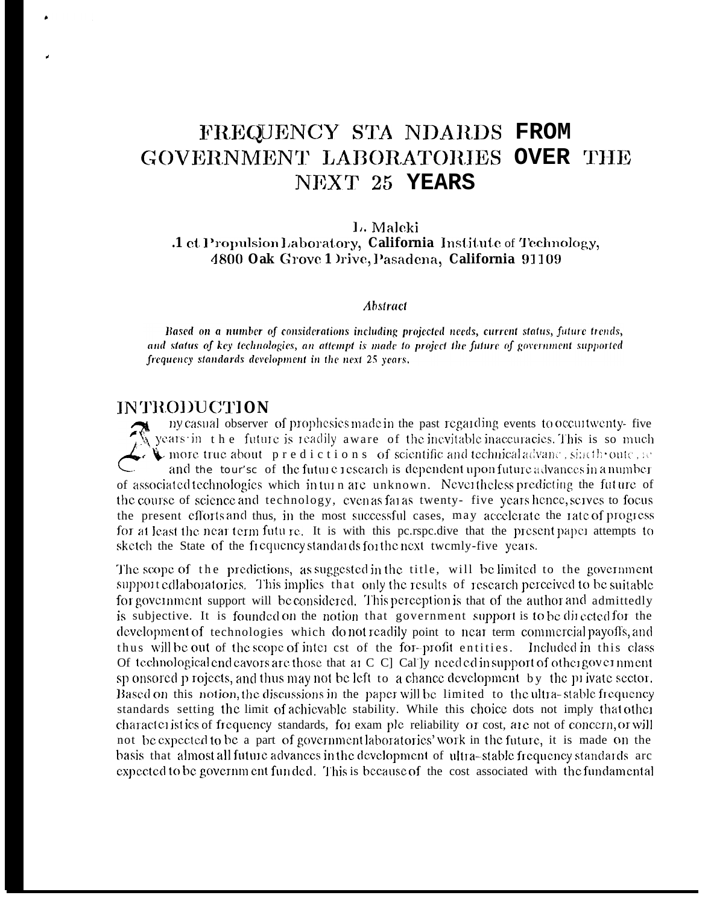# FREQUENCY STA NDARDS FROM GOVERNMENT LABORATORIES OVER THE NEXT 25 YEARS

L. Maleki

.1 et Propulsion Laboratory, California Institute of Technology, 4800 Oak Grove 1 Drive, Pasadena, California 91109

### **Abstract**

Based on a number of considerations including projected needs, current status, future trends, and status of key technologies, an attempt is made to project the future of government supported frequency standards development in the next 25 years.

### **INTRODUCTION**

ny casual observer of prophesics made in the past regarding events to occur twenty-five sears in the future is readily aware of the inevitable inaccuracies. This is so much If more true about predictions of scientific and technical advance, sincth outce, and and the tour'sc of the future research is dependent upon future advances in a number of associated technologies which intuin are unknown. Nevertheless predicting the future of the course of science and technology, even as far as twenty-five years hence, serves to focus the present efforts and thus, in the most successful cases, may accelerate the rate of progress for at least the near term future. It is with this perspedive that the present paper attempts to sketch the State of the frequency standards for the next twemly-five years.

The scope of the predictions, as suggested in the title, will be limited to the government supportedlaboratories. This implies that only the results of research perceived to be suitable for government support will be considered. This perception is that of the author and admittedly is subjective. It is founded on the notion that government support is to be directed for the development of technologies which do not readily point to near term commercial payoffs, and thus will be out of the scope of inter est of the for-profit entities. Included in this class Of technological end cavors are those that at C C] Cal Jy need ed in support of other government sp onsored p rojects, and thus may not be left to a chance development by the private sector. Based on this notion, the discussions in the paper will be limited to the ultra-stable frequency standards setting the limit of achievable stability. While this choice dots not imply that other characteristics of frequency standards, for exam ple reliability or cost, are not of concern, or will not be expected to be a part of government laboratories' work in the future, it is made on the basis that almost all future advances in the development of ultra-stable frequency standards are expected to be governm ent funded. This is because of the cost associated with the fundamental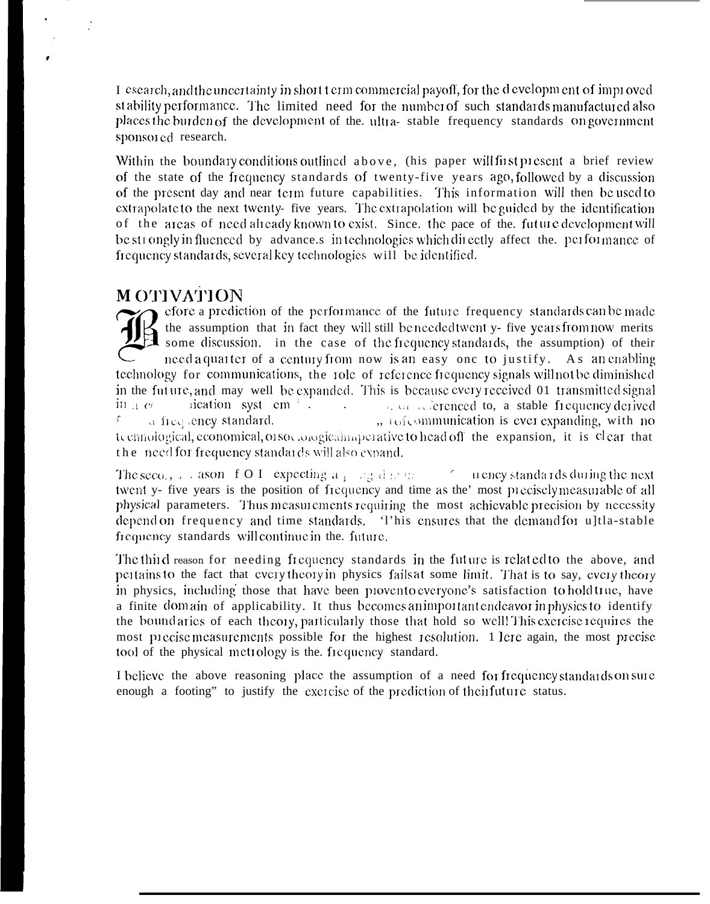I escarch, and the uncertainty in short term commercial payoff, for the development of improved st ability performance. The limited need for the number of such standards manufactured also places the burden of the development of the ultra-stable frequency standards on government sponsored research.

Within the boundary conditions outlined above, (his paper will first present a brief review of the state of the frequency standards of twenty-five years ago, followed by a discussion of the present day and near term future capabilities. This information will then be used to extrapolate to the next twenty- five years. The extrapolation will be guided by the identification of the areas of need already known to exist. Since, the pace of the future development will be strongly in fluenced by advance s intechnologies which directly affect the performance of frequency standards, several key technologies will be identified.

### **MOTIVATION**

efore a prediction of the performance of the future frequency standards can be made the assumption that in fact they will still be needed twent y- five years from now merits some discussion. in the case of the frequency standards, the assumption) of their need a quarter of a century from now is an easy one to justify. As an enabling technology for communications, the role of reference frequency signals will not be diminished in the future, and may well be expanded. This is because every received 01 transmitted signal  $\frac{1}{2}$  ication syst cm<sup>3</sup>.  $\therefore$   $\therefore$   $\therefore$   $\therefore$   $\therefore$   $\therefore$  a  $\therefore$  a created to, a stable frequency derived  $\mathrm{in}_{\mathrm{[3-}C^{r}}$ a frequency standard. " i of communication is ever expanding, with no £. technological, economical, or sociological imperative to head off the expansion, it is clear that the need for frequency standards will also expand.

The seco., , . ason f O I expecting  $a_1$  and  $a_2$  are not  $\sim$   $\sim$   $\mu$  ency standards during the next twent y- five years is the position of frequency and time as the' most precisely measurable of all physical parameters. Thus measurements requiring the most achievable precision by necessity depend on frequency and time standards. This ensures that the demand for ultla-stable frequency standards will continue in the future.

The third reason for needing frequency standards in the future is related to the above, and pertains to the fact that every theory in physics fails at some limit. That is to say, every theory in physics, including those that have been provento everyone's satisfaction to hold true, have a finite domain of applicability. It thus becomes an important endeavor in physics to identify the boundaries of each theory, particularly those that hold so well! This exercise requires the most precise measurements possible for the highest resolution. 1 lere again, the most precise tool of the physical metrology is the frequency standard.

I believe the above reasoning place the assumption of a need for frequency standards on sure enough a footing" to justify the exercise of the prediction of theirfuture status.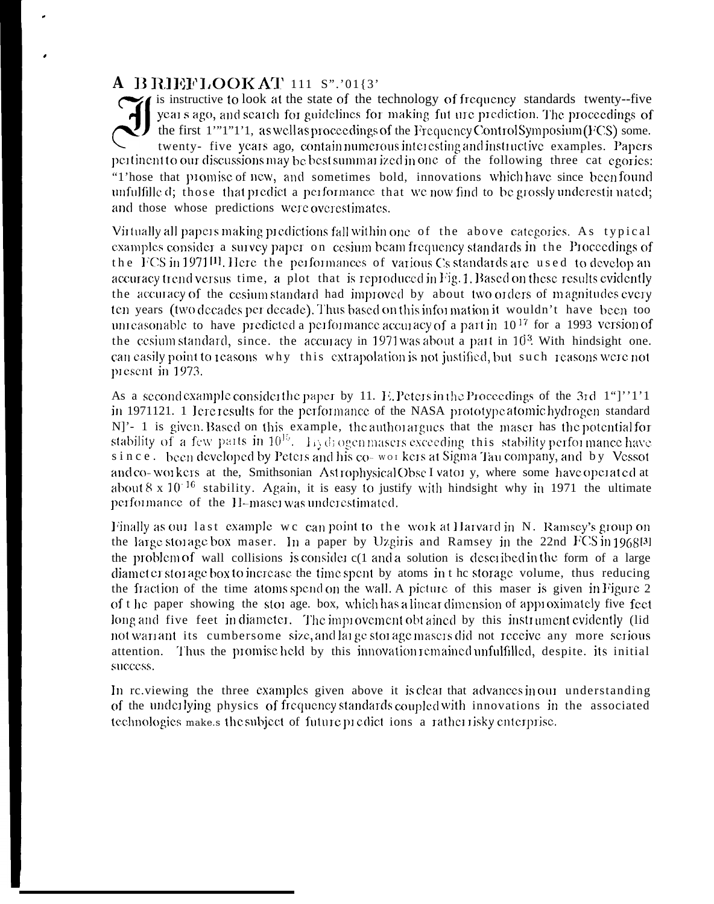# A BRIEFLOOKAT 111 S".'01{3'

is instructive to look at the state of the technology of frequency standards twenty-five years ago, and search for guidelines for making fut ure prediction. The proceedings of the first 1"'1"1'1, as well as proceedings of the Frequency Control Symposium (FCS) some. twenty- five years ago, contain numerous interesting and instructive examples. Papers pertinent to our discussions may be best summarized in one of the following three cat egories: "Those that promise of new, and sometimes bold, innovations which have since been found unfulfille d; those that predict a performance that we now find to be grossly underestinuated; and those whose predictions were overestimates.

Virtually all papers making predictions fall within one of the above categories. As typical examples consider a survey paper on cesium beam frequency standards in the Proceedings of the FCS in  $1971^{[1]}$ . Here the performances of various Cs standards are used to develop an accuracy trend versus time, a plot that is reproduced in Fig. 1. Based on these results evidently the accuracy of the cesium standard had improved by about two orders of magnitudes every ten years (two decades per decade). Thus based on this information it wouldn't have been too unreasonable to have predicted a performance accuracy of a part in  $10^{17}$  for a 1993 version of the cesium standard, since, the accuracy in  $1971$  was about a part in  $10<sup>3</sup>$ . With hindsight one. can easily point to reasons why this extrapolation is not justified, but such reasons were not present in 1973.

As a second example consider the paper by 11. E. Peters in the Proceedings of the 3rd  $1^{\circ}$ " 1'1 in 1971121. 1 lere results for the performance of the NASA prototype atomic hydrogen standard N]'- 1 is given. Based on this example, the authorargues that the maser has the potential for stability of a few parts in  $10^{15}$ .  $1<sub>1</sub>$  di ogen masers exceeding this stability performance have since. been developed by Peters and his co-workers at Sigma Tau company, and by Vessot and co-workers at the, Smithsonian Astrophysical Obse I vator y, where some have operated at about 8 x 10<sup>-16</sup> stability. Again, it is easy to justify with hindsight why in 1971 the ultimate performance of the II-maser was underestimated.

Finally as our last example we can point to the work at Harvard in N. Ramsey's group on the large storage box maser. In a paper by Uzgiris and Ramsey in the 22nd FCS in 1968[3] the problem of wall collisions is consider c(1 and a solution is described in the form of a large diameter storage box to increase the time spent by atoms in the storage volume, thus reducing the fraction of the time atoms spend on the wall. A picture of this maser is given in Figure 2 of the paper showing the stor age. box, which has a linear dimension of approximately five feet long and five feet in diameter. The improvement obtained by this instrument evidently (lid not warrant its cumbersome size, and large storage masers did not receive any more serious attention. Thus the promise held by this innovation remained unfulfilled, despite, its initial success.

In re.viewing the three examples given above it is clear that advances in our understanding of the underlying physics of frequency standards coupled with innovations in the associated technologies make s the subject of future predictions a rather risky enterprise.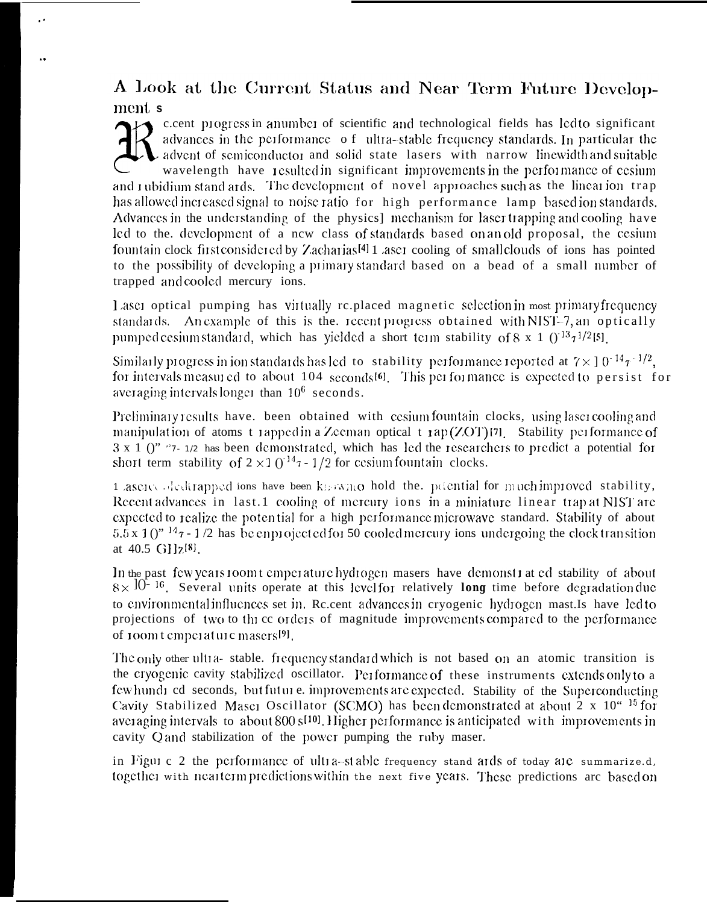A Look at the Current Status and Near Term Future Development s

c.cent progress in anumber of scientific and technological fields has led to significant advances in the performance of ultra-stable frequency standards. In particular the advent of semiconductor and solid state lasers with narrow linewidth and suitable wavelength have resulted in significant improvements in the performance of cesium and I ubidium stand ards. The development of novel approaches such as the linearion trap has allowed increased signal to noise ratio for high performance lamp based ion standards. Advances in the understanding of the physics] mechanism for laser trapping and cooling have led to the development of a new class of standards based on an old proposal, the cesium fountain clock first considered by Zacharias<sup>[4]</sup> 1 aser cooling of small clouds of ions has pointed to the possibility of developing a primary standard based on a bead of a small number of trapped and cooled mercury ions.

Laser optical pumping has virtually replaced magnetic selection in most primary frequency standards. An example of this is the recent progress obtained with NIST-7, an optically pumped cesium standard, which has yielded a short term stability of  $8 \times 10^{-3} \sigma^{1/2}$ [5].

Similarly progress in ion standards has led to stability performance reported at  $7 \times 10^{-14} \tau^{-1/2}$ . for intervals measured to about 104 seconds<sup>[6]</sup>. This performance is expected to persist for averaging intervals longer than 10<sup>6</sup> seconds.

Preliminary results have, been obtained with cesium fountain clocks, using laser cooling and manipulation of atoms t rapped in a Zeeman optical t rap (ZOT)[7]. Stability performance of  $3 \times 1$  ()" \*7. 1/2 has been demonstrated, which has led the researchers to predict a potential for short term stability of  $2 \times 10^{-14} \tau$  -  $1/2$  for cessum fountain clocks.

1 ascied dedirapped ions have been knownto hold the. potential for much improved stability, Recent advances in last.1 cooling of mercury ions in a miniature linear trap at NIST are expected to realize the potential for a high performance microwave standard. Stability of about  $5.5 \times 10^{9}$   $^{14}$   $\tau$  - 1/2 has be enprojected for 50 cooled mercury ions undergoing the clock transition at 40.5 GHz<sup>[8]</sup>.

In the past few years room temperature hydrogen masers have demonstrated stability of about  $8 \times$  10- 16. Several units operate at this level for relatively long time before degradation due to environmental influences set in. Retermination alwances in ervogenic hydrogen mast. Is have led to projections of two to thi cc orders of magnitude improvements compared to the performance of 100m t emperature masers<sup>[9]</sup>.

The only other ultra- stable. frequency standard which is not based on an atomic transition is the cryogenic cavity stabilized oscillator. Performance of these instruments extends only to a few hundi ed seconds, but fut ui e. improvements are expected. Stability of the Superconducting Cavity Stabilized Maser Oscillator (SCMO) has been demonstrated at about 2  $\times$  10<sup> $\cdot$ </sup> 1<sup>5</sup> for averaging intervals to about 800 s<sup>[10]</sup>. Higher performance is anticipated with improvements in cavity Q and stabilization of the power pumping the ruby maser.

in Figure 2 the performance of ultra-stable frequency stand ards of today are summarized, together with nearterm predictions within the next five years. These predictions are based on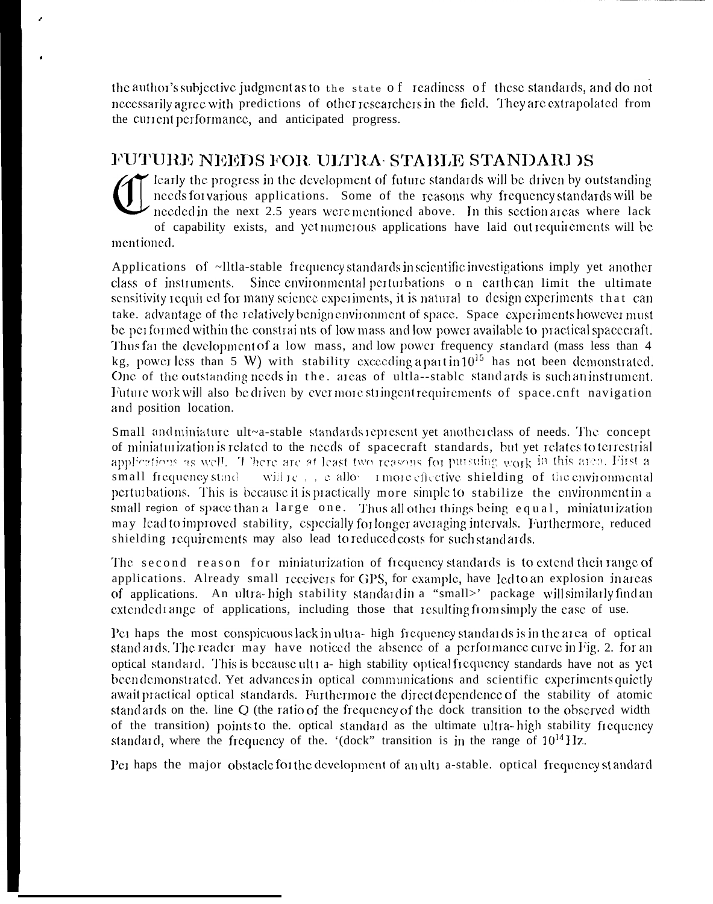the author's subjective judgment as to the state of readiness of these standards, and do not necessarily agree with predictions of other researchers in the field. They are extrapolated from the current performance, and anticipated progress.

# FUTURE NEEDS FOR ULTRA-STABLE STANDARI )S

learly the progress in the development of future standards will be driven by outstanding needs for various applications. Some of the reasons why frequency standards will be needed in the next 2.5 years were mentioned above. In this section areas where lack of capability exists, and yet numerous applications have laid out requirements will be mentioned.

Applications of ~lltla-stable frequency standards in scientific investigations imply yet another class of instruments. Since environmental perturbations on earth can limit the ultimate sensitivity required for many science experiments, it is natural to design experiments that can take, advantage of the relatively benignenvironment of space. Space experiments however must be performed within the constraints of low mass and low power available to practical spacecraft. Thus far the development of a low mass, and low power frequency standard (mass less than 4 kg, power less than 5 W) with stability execeding a part in  $10^{15}$  has not been demonstrated. One of the outstanding needs in the. areas of ultla-stable standards is such an instrument. Future work will also be driven by ever more stringent requirements of space enft navigation and position location.

Small and miniature ult-a-stable standards represent yet another class of needs. The concept of miniaturization is related to the needs of spacecraft standards, but yet relates to terrestrial applications as well. T here are at least two reasons for pursuing work in this area. First a small frequency stand will re r e allow more effective shielding of the environmental perturbations. This is because it is practically more simple to stabilize the environment in a small region of space than a large one. Thus all other things being equal, miniaturization may lead to improved stability, especially for longer averaging intervals. Furthermore, reduced shielding requirements may also lead to reduced costs for such standards.

The second reason for miniaturization of frequency standards is to extend their range of applications. Already small receivers for GPS, for example, have led to an explosion in areas of applications. An ultra-high stability standard in a "small>' package will similarly find an extended range of applications, including those that resulting from simply the case of use.

Per haps the most conspicuous lack in ultra-high frequency standards is in the area of optical standards. The reader may have noticed the absence of a performance curve in Fig. 2. for an optical standard. This is because ult a- high stability optical frequency standards have not as yet been demonstrated. Yet advances in optical communications and scientific experiments quietly await practical optical standards. Furthermore the direct dependence of the stability of atomic standards on the line  $Q$  (the ratio of the frequency of the dock transition to the observed width of the transition) points to the optical standard as the ultimate ultra-high stability frequency standard, where the frequency of the. '(dock" transition is in the range of  $10^{14}$  Hz.

Per haps the major obstacle for the development of anultr a-stable, optical frequency standard